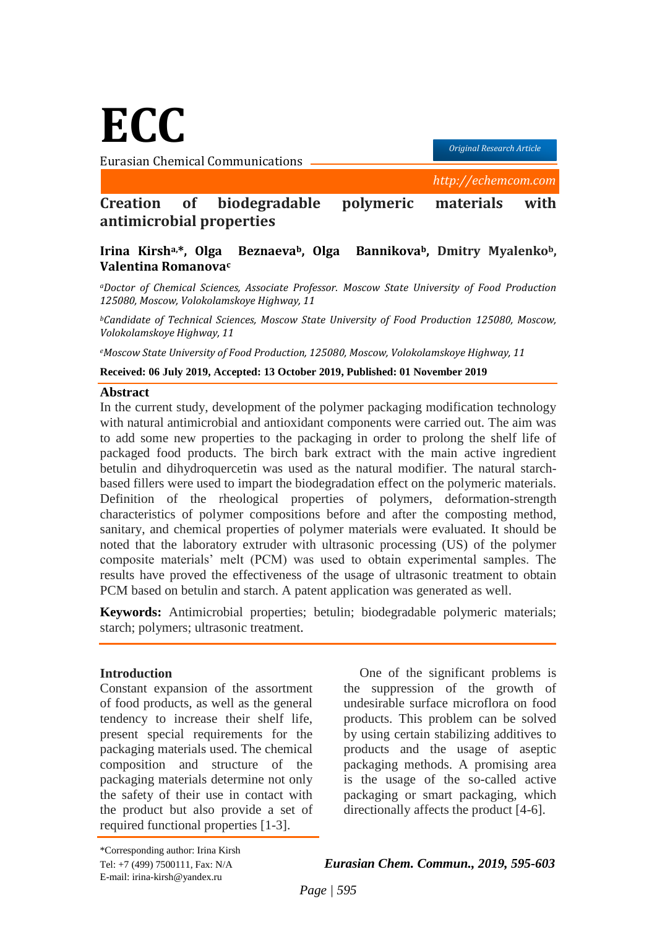**ECC**

Eurasian Chemical Communications

*Original Research Article*

 *http://echemcom.com*

# **Creation of biodegradable polymeric materials with antimicrobial properties**

## **Irina Kirsha,\*, Olga Beznaevab, Olga Bannikovab, Dmitry Myalenkob, Valentina Romanova<sup>c</sup>**

*<sup>a</sup>Doctor of Chemical Sciences, Associate Professor. Moscow State University of Food Production 125080, Moscow, Volokolamskoye Highway, 11*

*<sup>b</sup>Candidate of Technical Sciences, Moscow State University of Food Production 125080, Moscow, Volokolamskoye Highway, 11*

*<sup>e</sup>Moscow State University of Food Production, 125080, Moscow, Volokolamskoye Highway, 11*

**Received: 06 July 2019, Accepted: 13 October 2019, Published: 01 November 2019**

#### **Abstract**

In the current study, development of the polymer packaging modification technology with natural antimicrobial and antioxidant components were carried out. The aim was to add some new properties to the packaging in order to prolong the shelf life of packaged food products. The birch bark extract with the main active ingredient betulin and dihydroquercetin was used as the natural modifier. The natural starchbased fillers were used to impart the biodegradation effect on the polymeric materials. Definition of the rheological properties of polymers, deformation-strength characteristics of polymer compositions before and after the composting method, sanitary, and chemical properties of polymer materials were evaluated. It should be noted that the laboratory extruder with ultrasonic processing (US) of the polymer composite materials' melt (PCM) was used to obtain experimental samples. The results have proved the effectiveness of the usage of ultrasonic treatment to obtain PCM based on betulin and starch. A patent application was generated as well.

**Keywords:** Antimicrobial properties; betulin; biodegradable polymeric materials; starch; polymers; ultrasonic treatment.

#### **Introduction**

Constant expansion of the assortment of food products, as well as the general tendency to increase their shelf life, present special requirements for the packaging materials used. The chemical composition and structure of the packaging materials determine not only the safety of their use in contact with the product but also provide a set of required functional properties [1-3].

One of the significant problems is the suppression of the growth of undesirable surface microflora on food products. This problem can be solved by using certain stabilizing additives to products and the usage of aseptic packaging methods. A promising area is the usage of the so-called active packaging or smart packaging, which directionally affects the product [4-6].

\*Corresponding author: Irina Kirsh E-mail: irina-kirsh@yandex.ru

Tel: +7 (499) 7500111, Fax: N/A *Eurasian Chem. Commun., 2019, 595-603*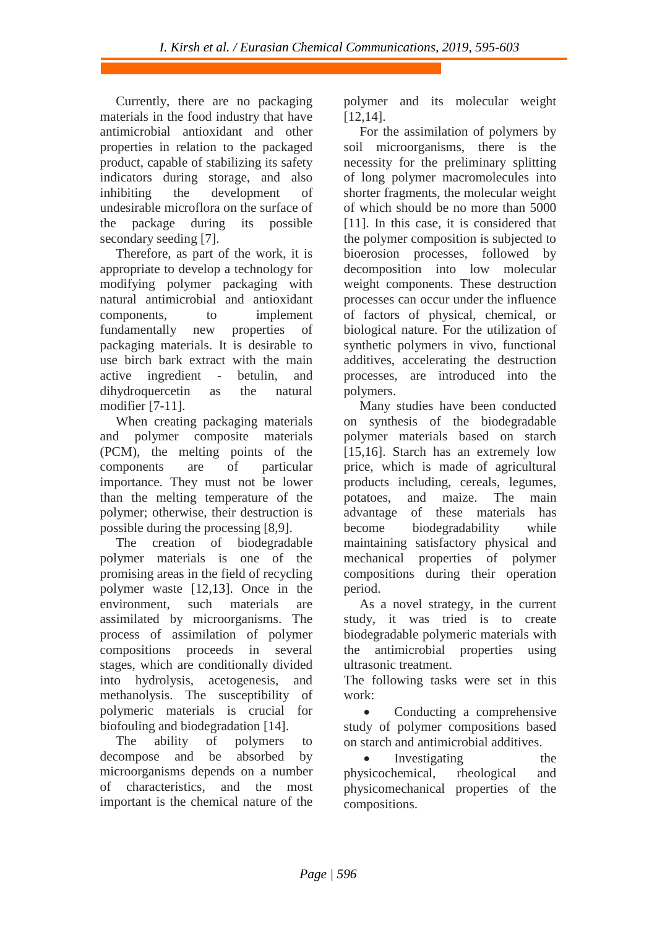Currently, there are no packaging materials in the food industry that have antimicrobial antioxidant and other properties in relation to the packaged product, capable of stabilizing its safety indicators during storage, and also inhibiting the development of undesirable microflora on the surface of the package during its possible secondary seeding [7].

Therefore, as part of the work, it is appropriate to develop a technology for modifying polymer packaging with natural antimicrobial and antioxidant components, to implement fundamentally new properties of packaging materials. It is desirable to use birch bark extract with the main active ingredient - betulin, and dihydroquercetin as the natural modifier [7-11].

When creating packaging materials and polymer composite materials (PCM), the melting points of the components are of particular importance. They must not be lower than the melting temperature of the polymer; otherwise, their destruction is possible during the processing [8,9].

The creation of biodegradable polymer materials is one of the promising areas in the field of recycling polymer waste [12,13]. Once in the environment, such materials are assimilated by microorganisms. The process of assimilation of polymer compositions proceeds in several stages, which are conditionally divided into hydrolysis, acetogenesis, and methanolysis. The susceptibility of polymeric materials is crucial for biofouling and biodegradation [14].

The ability of polymers to decompose and be absorbed by microorganisms depends on a number of characteristics, and the most important is the chemical nature of the polymer and its molecular weight [12,14].

For the assimilation of polymers by soil microorganisms, there is the necessity for the preliminary splitting of long polymer macromolecules into shorter fragments, the molecular weight of which should be no more than 5000 [11]. In this case, it is considered that the polymer composition is subjected to bioerosion processes, followed by decomposition into low molecular weight components. These destruction processes can occur under the influence of factors of physical, chemical, or biological nature. For the utilization of synthetic polymers in vivo, functional additives, accelerating the destruction processes, are introduced into the polymers.

Many studies have been conducted on synthesis of the biodegradable polymer materials based on starch [15,16]. Starch has an extremely low price, which is made of agricultural products including, cereals, legumes, potatoes, and maize. The main advantage of these materials has become biodegradability while maintaining satisfactory physical and mechanical properties of polymer compositions during their operation period.

As a novel strategy, in the current study, it was tried is to create biodegradable polymeric materials with the antimicrobial properties using ultrasonic treatment.

The following tasks were set in this work:

• Conducting a comprehensive study of polymer compositions based on starch and antimicrobial additives.

Investigating the physicochemical, rheological and physicomechanical properties of the compositions.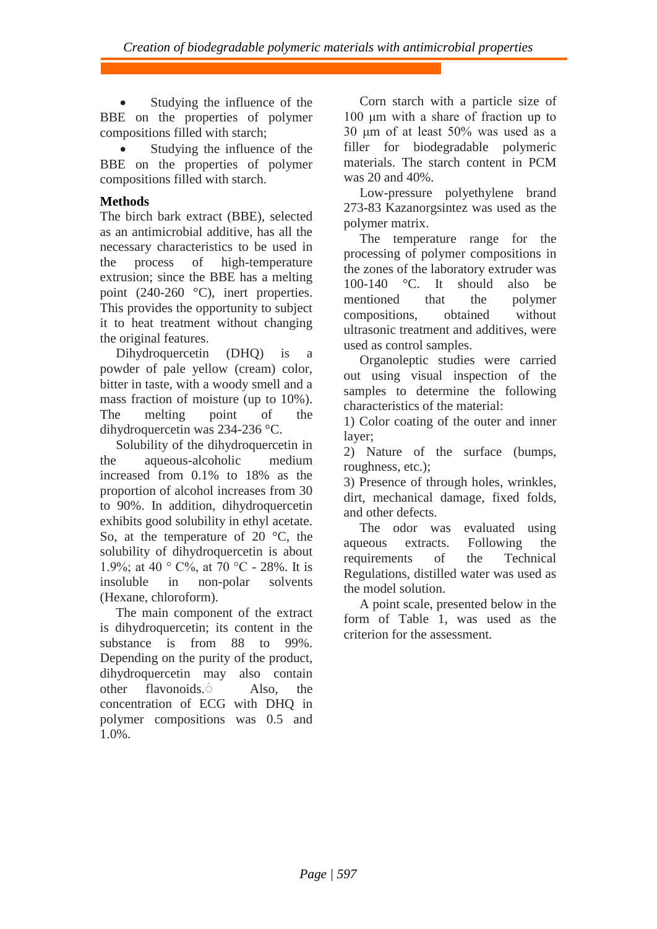Studying the influence of the BBE on the properties of polymer compositions filled with starch;

• Studying the influence of the BBE on the properties of polymer compositions filled with starch.

# **Methods**

The birch bark extract (BBE), selected as an antimicrobial additive, has all the necessary characteristics to be used in the process of high-temperature extrusion; since the BBE has a melting point (240-260 °C), inert properties. This provides the opportunity to subject it to heat treatment without changing the original features.

Dihydroquercetin (DHQ) is a powder of pale yellow (cream) color, bitter in taste, with a woody smell and a mass fraction of moisture (up to 10%). The melting point of the dihydroquercetin was 234-236 °C.

Solubility of the dihydroquercetin in the aqueous-alcoholic medium increased from 0.1% to 18% as the proportion of alcohol increases from 30 to 90%. In addition, dihydroquercetin exhibits good solubility in ethyl acetate. So, at the temperature of 20 $\degree$ C, the solubility of dihydroquercetin is about 1.9%; at 40 ° С%, at 70 °С - 28%. It is insoluble in non-polar solvents (Hexane, chloroform).

The main component of the extract is dihydroquercetin; its content in the substance is from 88 to 99%. Depending on the purity of the product, dihydroquercetin may also contain other flavonoids.َ Also, the concentration of ECG with DHQ in polymer compositions was 0.5 and 1.0%.

Corn starch with a particle size of 100 μm with a share of fraction up to 30 μm of at least 50% was used as a filler for biodegradable polymeric materials. The starch content in PCM was 20 and 40%.

Low-pressure polyethylene brand 273-83 Kazanorgsintez was used as the polymer matrix.

The temperature range for the processing of polymer compositions in the zones of the laboratory extruder was 100-140 °C. It should also be mentioned that the polymer compositions, obtained without ultrasonic treatment and additives, were used as control samples.

Organoleptic studies were carried out using visual inspection of the samples to determine the following characteristics of the material:

1) Color coating of the outer and inner layer;

2) Nature of the surface (bumps, roughness, etc.);

3) Presence of through holes, wrinkles, dirt, mechanical damage, fixed folds, and other defects.

The odor was evaluated using aqueous extracts. Following the requirements of the Technical Regulations, distilled water was used as the model solution.

A point scale, presented below in the form of Table 1, was used as the criterion for the assessment.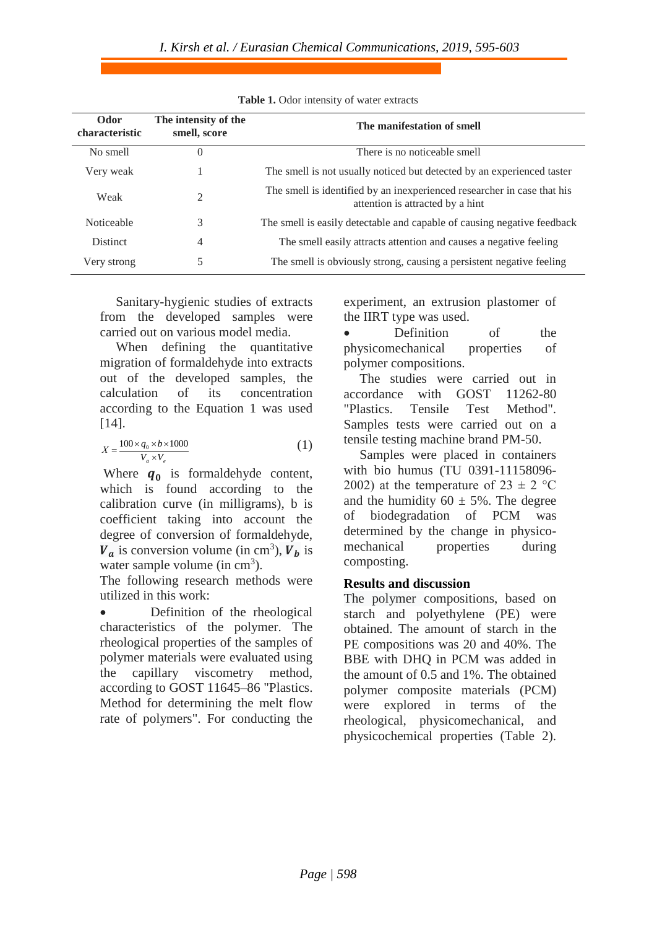| Odor<br>characteristic | The intensity of the<br>smell, score | The manifestation of smell                                                                                  |
|------------------------|--------------------------------------|-------------------------------------------------------------------------------------------------------------|
| No smell               | $\Omega$                             | There is no noticeable smell                                                                                |
| Very weak              |                                      | The smell is not usually noticed but detected by an experienced taster                                      |
| Weak                   | 2                                    | The smell is identified by an inexperienced researcher in case that his<br>attention is attracted by a hint |
| <b>Noticeable</b>      | 3                                    | The smell is easily detectable and capable of causing negative feedback                                     |
| <b>Distinct</b>        | $\overline{4}$                       | The smell easily attracts attention and causes a negative feeling                                           |
| Very strong            | 5                                    | The smell is obviously strong, causing a persistent negative feeling                                        |

**Table 1.** Odor intensity of water extracts

Sanitary-hygienic studies of extracts from the developed samples were carried out on various model media.

When defining the quantitative migration of formaldehyde into extracts out of the developed samples, the calculation of its concentration according to the Equation 1 was used [14].

$$
X = \frac{100 \times q_0 \times b \times 1000}{V_a \times V_s} \tag{1}
$$

Where  $q_0$  is formaldehyde content, which is found according to the calibration curve (in milligrams), b is coefficient taking into account the degree of conversion of formaldehyde,  $V_a$  is conversion volume (in cm<sup>3</sup>),  $V_b$  is water sample volume (in  $cm<sup>3</sup>$ ).

The following research methods were utilized in this work:

• Definition of the rheological characteristics of the polymer. The rheological properties of the samples of polymer materials were evaluated using the capillary viscometry method, according to GOST 11645–86 "Plastics. Method for determining the melt flow rate of polymers". For conducting the

experiment, an extrusion plastomer of the IIRT type was used.

• Definition of the physicomechanical properties of polymer compositions.

The studies were carried out in accordance with GOST 11262-80 "Plastics. Tensile Test Method". Samples tests were carried out on a tensile testing machine brand PM-50.

Samples were placed in containers with bio humus (TU 0391-11158096- 2002) at the temperature of  $23 \pm 2$  °C and the humidity  $60 \pm 5\%$ . The degree of biodegradation of PCM was determined by the change in physicomechanical properties during composting.

## **Results and discussion**

The polymer compositions, based on starch and polyethylene (PE) were obtained. The amount of starch in the PE compositions was 20 and 40%. The BBE with DHQ in PCM was added in the amount of 0.5 and 1%. The obtained polymer composite materials (PCM) were explored in terms of the rheological, physicomechanical, and physicochemical properties (Table 2).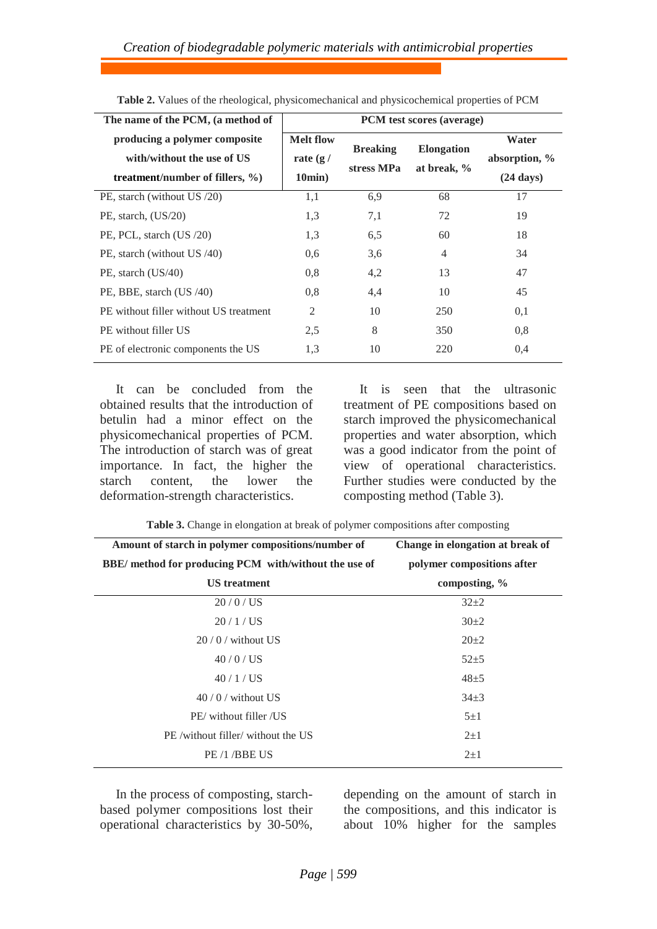| The name of the PCM, (a method of                                                                  | PCM test scores (average)                    |                               |                                  |                                               |  |  |
|----------------------------------------------------------------------------------------------------|----------------------------------------------|-------------------------------|----------------------------------|-----------------------------------------------|--|--|
| producing a polymer composite<br>with/without the use of US<br>treatment/number of fillers, $\%$ ) | <b>Melt flow</b><br>rate $(g /$<br>$10min$ ) | <b>Breaking</b><br>stress MPa | <b>Elongation</b><br>at break, % | Water<br>absorption, %<br>$(24 \text{ days})$ |  |  |
| PE, starch (without US /20)                                                                        | 1,1                                          | 6,9                           | 68                               | 17                                            |  |  |
| PE, starch, $(US/20)$                                                                              | 1,3                                          | 7,1                           | 72                               | 19                                            |  |  |
| PE, PCL, starch (US /20)                                                                           | 1.3                                          | 6.5                           | 60                               | 18                                            |  |  |
| PE, starch (without US /40)                                                                        | 0.6                                          | 3.6                           | $\overline{4}$                   | 34                                            |  |  |
| PE, starch (US/40)                                                                                 | 0,8                                          | 4,2                           | 13                               | 47                                            |  |  |
| PE, BBE, starch (US /40)                                                                           | 0,8                                          | 4,4                           | 10                               | 45                                            |  |  |
| PE without filler without US treatment                                                             | 2                                            | 10                            | 250                              | 0,1                                           |  |  |
| PE without filler US                                                                               | 2,5                                          | 8                             | 350                              | 0.8                                           |  |  |
| PE of electronic components the US                                                                 | 1.3                                          | 10                            | 220                              | 0.4                                           |  |  |

**Table 2.** Values of the rheological, physicomechanical and physicochemical properties of PCM

It can be concluded from the obtained results that the introduction of betulin had a minor effect on the physicomechanical properties of PCM. The introduction of starch was of great importance. In fact, the higher the starch content, the lower the deformation-strength characteristics.

It is seen that the ultrasonic treatment of PE compositions based on starch improved the physicomechanical properties and water absorption, which was a good indicator from the point of view of operational characteristics. Further studies were conducted by the composting method (Table 3).

|  |  |  |  |  |  | Table 3. Change in elongation at break of polymer compositions after composting |
|--|--|--|--|--|--|---------------------------------------------------------------------------------|
|--|--|--|--|--|--|---------------------------------------------------------------------------------|

| Amount of starch in polymer compositions/number of           | Change in elongation at break of |  |  |
|--------------------------------------------------------------|----------------------------------|--|--|
| <b>BBE/</b> method for producing PCM with/without the use of | polymer compositions after       |  |  |
| <b>US</b> treatment                                          | composting, %                    |  |  |
| $20/0$ / US                                                  | $32+2$                           |  |  |
| 20/1 / US                                                    | $30+2$                           |  |  |
| $20/0$ / without US                                          | $20+2$                           |  |  |
| $40/0$ / US                                                  | $52+5$                           |  |  |
| 40/1/US                                                      | $48 + 5$                         |  |  |
| $40/0$ / without US                                          | $34\pm3$                         |  |  |
| PE/without filler /US                                        | $5\pm1$                          |  |  |
| PE /without filler/ without the US                           | $2+1$                            |  |  |
| PE/1/BBE US                                                  | $2\pm1$                          |  |  |

In the process of composting, starchbased polymer compositions lost their operational characteristics by 30-50%, depending on the amount of starch in the compositions, and this indicator is about 10% higher for the samples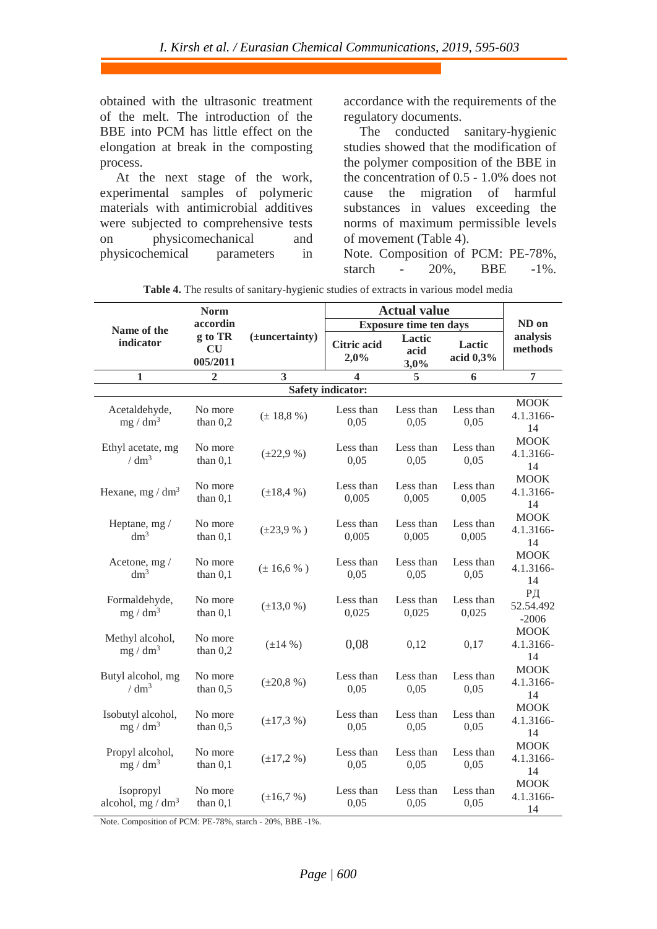obtained with the ultrasonic treatment of the melt. The introduction of the BBE into PCM has little effect on the elongation at break in the composting process.

At the next stage of the work, experimental samples of polymeric materials with antimicrobial additives were subjected to comprehensive tests on physicomechanical and physicochemical parameters in

accordance with the requirements of the regulatory documents.

The conducted sanitary-hygienic studies showed that the modification of the polymer composition of the BBE in the concentration of 0.5 - 1.0% does not cause the migration of harmful substances in values exceeding the norms of maximum permissible levels of movement (Table 4). Note. Composition of PCM: PE-78%,

starch - 20%, BBE -1%.

|                                           | <b>Norm</b>               |                     | <b>Actual value</b>           |                        |                       |                                |
|-------------------------------------------|---------------------------|---------------------|-------------------------------|------------------------|-----------------------|--------------------------------|
| Name of the                               | accordin                  |                     | <b>Exposure time ten days</b> |                        |                       | ND on                          |
| indicator                                 | g to TR<br>CU<br>005/2011 | $(\pm$ uncertainty) | <b>Citric acid</b><br>2,0%    | Lactic<br>acid<br>3,0% | Lactic<br>acid $0,3%$ | analysis<br>methods            |
| $\mathbf{1}$                              | $\overline{2}$            | 3                   | 4                             | 5                      | 6                     | 7                              |
|                                           |                           |                     | <b>Safety indicator:</b>      |                        |                       |                                |
| Acetaldehyde,<br>$mg/dm^3$                | No more<br>than $0,2$     | $(\pm 18.8\%)$      | Less than<br>0,05             | Less than<br>0,05      | Less than<br>0,05     | <b>MOOK</b><br>4.1.3166-<br>14 |
| Ethyl acetate, mg<br>/ dm <sup>3</sup>    | No more<br>than $0,1$     | $(\pm 22.9\%)$      | Less than<br>0,05             | Less than<br>0,05      | Less than<br>0,05     | <b>MOOK</b><br>4.1.3166-<br>14 |
| Hexane, mg / $dm^3$                       | No more<br>than $0,1$     | $(\pm 18, 4\%)$     | Less than<br>0,005            | Less than<br>0,005     | Less than<br>0,005    | <b>MOOK</b><br>4.1.3166-<br>14 |
| Heptane, mg /<br>dm <sup>3</sup>          | No more<br>than $0,1$     | $(\pm 23.9 %)$      | Less than<br>0,005            | Less than<br>0,005     | Less than<br>0,005    | <b>MOOK</b><br>4.1.3166-<br>14 |
| Acetone, mg /<br>dm <sup>3</sup>          | No more<br>than $0,1$     | $(\pm 16, 6\%)$     | Less than<br>0,05             | Less than<br>0,05      | Less than<br>0,05     | <b>MOOK</b><br>4.1.3166-<br>14 |
| Formaldehyde,<br>$mg/dm^3$                | No more<br>than $0,1$     | $(\pm 13.0\%)$      | Less than<br>0,025            | Less than<br>0,025     | Less than<br>0,025    | PД<br>52.54.492<br>$-2006$     |
| Methyl alcohol,<br>$mg/dm^3$              | No more<br>than $0,2$     | $(\pm 14\% )$       | 0,08                          | 0,12                   | 0,17                  | <b>MOOK</b><br>4.1.3166-<br>14 |
| Butyl alcohol, mg<br>/ dm <sup>3</sup>    | No more<br>than $0,5$     | $(\pm 20.8\%)$      | Less than<br>0,05             | Less than<br>0,05      | Less than<br>0,05     | <b>MOOK</b><br>4.1.3166-<br>14 |
| Isobutyl alcohol,<br>mg / dm <sup>3</sup> | No more<br>than $0,5$     | $(\pm 17,3 \%)$     | Less than<br>0,05             | Less than<br>0,05      | Less than<br>0,05     | <b>MOOK</b><br>4.1.3166-<br>14 |
| Propyl alcohol,<br>mg / dm <sup>3</sup>   | No more<br>than $0,1$     | $(\pm 17, 2\%)$     | Less than<br>0,05             | Less than<br>0,05      | Less than<br>0,05     | <b>MOOK</b><br>4.1.3166-<br>14 |
| Isopropyl<br>alcohol, mg / $dm3$          | No more<br>than $0,1$     | $(\pm 16.7%)$       | Less than<br>0,05             | Less than<br>0,05      | Less than<br>0,05     | <b>MOOK</b><br>4.1.3166-<br>14 |

**Table 4.** The results of sanitary-hygienic studies of extracts in various model media

Note. Composition of PCM: PE-78%, starch - 20%, BBE -1%.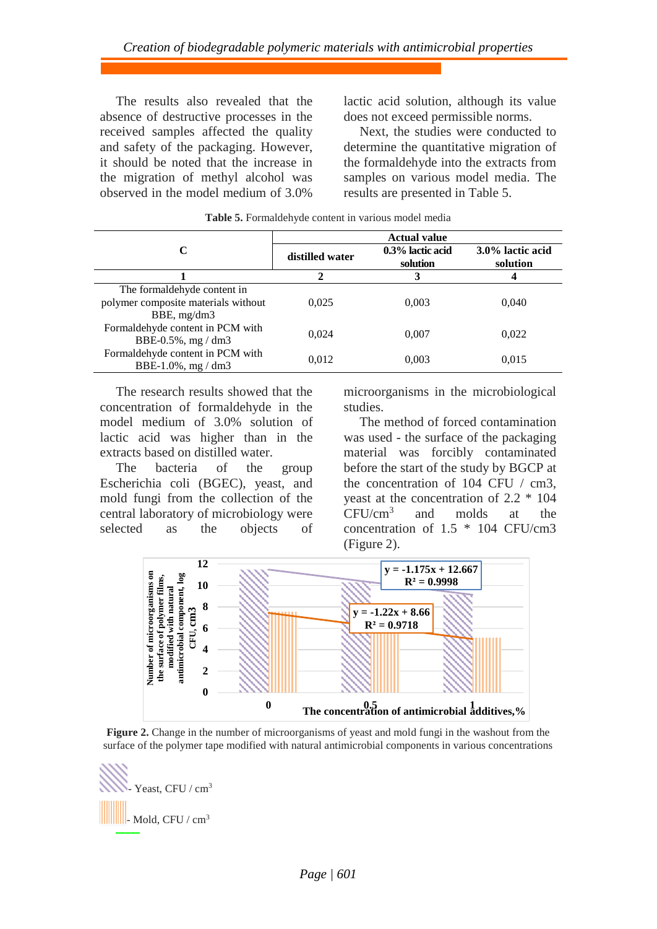The results also revealed that the absence of destructive processes in the received samples affected the quality and safety of the packaging. However, it should be noted that the increase in the migration of methyl alcohol was observed in the model medium of 3.0%

lactic acid solution, although its value does not exceed permissible norms.

Next, the studies were conducted to determine the quantitative migration of the formaldehyde into the extracts from samples on various model media. The results are presented in Table 5.

|                                                                                      | <b>Actual value</b> |                              |                              |  |  |
|--------------------------------------------------------------------------------------|---------------------|------------------------------|------------------------------|--|--|
| C                                                                                    | distilled water     | 0.3% lactic acid<br>solution | 3.0% lactic acid<br>solution |  |  |
|                                                                                      | 2                   | 3                            |                              |  |  |
| The formal dehyde content in<br>polymer composite materials without<br>BBE, $mg/dm3$ | 0.025               | 0.003                        | 0.040                        |  |  |
| Formaldehyde content in PCM with<br>BBE-0.5%, $mg/dm3$                               | 0.024               | 0.007                        | 0.022                        |  |  |
| Formaldehyde content in PCM with<br>BBE-1.0%, mg / dm3                               | 0,012               | 0,003                        | 0.015                        |  |  |

**Table 5.** Formaldehyde content in various model media

The research results showed that the concentration of formaldehyde in the model medium of 3.0% solution of lactic acid was higher than in the extracts based on distilled water.

The bacteria of the group Escherichia coli (BGEC), yeast, and mold fungi from the collection of the central laboratory of microbiology were selected as the objects of microorganisms in the microbiological studies.

The method of forced contamination was used - the surface of the packaging material was forcibly contaminated before the start of the study by BGCP at the concentration of 104 CFU / cm3, yeast at the concentration of 2.2 \* 104 CFU/cm<sup>3</sup> and molds at the concentration of 1.5 \* 104 CFU/cm3 (Figure 2).



**Figure 2.** Change in the number of microorganisms of yeast and mold fungi in the washout from the surface of the polymer tape modified with natural antimicrobial components in various concentrations

Yeast, CFU / cm<sup>3</sup>  $\blacksquare$ - Mold, CFU / cm<sup>3</sup>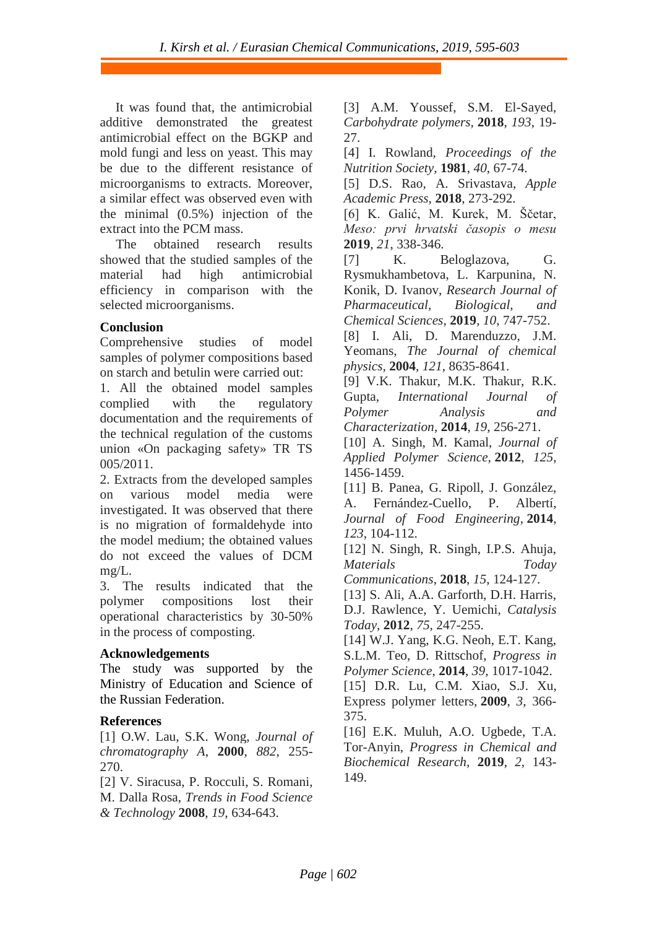It was found that, the antimicrobial additive demonstrated the greatest antimicrobial effect on the BGKP and mold fungi and less on yeast. This may be due to the different resistance of microorganisms to extracts. Moreover, a similar effect was observed even with the minimal (0.5%) injection of the extract into the PCM mass.

The obtained research results showed that the studied samples of the material had high antimicrobial efficiency in comparison with the selected microorganisms.

## **Conclusion**

Comprehensive studies of model samples of polymer compositions based on starch and betulin were carried out:

1. All the obtained model samples complied with the regulatory documentation and the requirements of the technical regulation of the customs union «On packaging safety» TR TS 005/2011.

2. Extracts from the developed samples on various model media were investigated. It was observed that there is no migration of formaldehyde into the model medium; the obtained values do not exceed the values of DCM mg/L.

3. The results indicated that the polymer compositions lost their operational characteristics by 30-50% in the process of composting.

### **Acknowledgements**

The study was supported by the Ministry of Education and Science of the Russian Federation.

### **References**

[1] O.W. Lau, S.K. Wong, *Journal of chromatography A*, **2000**, *882*, 255- 270.

[2] V. Siracusa, P. Rocculi, S. Romani, M. Dalla Rosa, *Trends in Food Science & Technology* **2008**, *19*, 634-643.

[3] A.M. Youssef, S.M. El-Sayed, *Carbohydrate polymers,* **2018**, *193*, 19- 27.

[4] I. Rowland, *Proceedings of the Nutrition Society,* **1981**, *40*, 67-74.

[5] D.S. Rao, A. Srivastava, *Apple Academic Press,* **2018**, 273-292.

[6] K. Galić, M. Kurek, M. Ščetar, *Meso: prvi hrvatski časopis o mesu*  **2019**, *21*, 338-346.

[7] K. Beloglazova, G. Rysmukhambetova, L. Karpunina, N. Konik, D. Ivanov, *Research Journal of Pharmaceutical, Biological, and Chemical Sciences*, **2019**, *10*, 747-752.

[8] I. Ali, D. Marenduzzo, J.M. Yeomans, *The Journal of chemical physics,* **2004**, *121*, 8635-8641.

[9] V.K. Thakur, M.K. Thakur, R.K. Gupta, *International Journal of Polymer Analysis and Characterization*, **2014**, *19*, 256-271.

[10] A. Singh, M. Kamal, *Journal of Applied Polymer Science,* **2012**, *125*, 1456-1459.

[11] B. Panea, G. Ripoll, J. González, A. Fernández-Cuello, P. Albertí, *Journal of Food Engineering*, **2014**, *123*, 104-112.

[12] N. Singh, R. Singh, I.P.S. Ahuja, *Materials Today* 

*Communications*, **2018**, *15*, 124-127.

[13] S. Ali, A.A. Garforth, D.H. Harris, D.J. Rawlence, Y. Uemichi, *Catalysis Today*, **2012**, *75*, 247-255.

[14] W.J. Yang, K.G. Neoh, E.T. Kang, S.L.M. Teo, D. Rittschof, *Progress in Polymer Science*, **2014**, *39*, 1017-1042.

[15] D.R. Lu, C.M. Xiao, S.J. Xu, Express polymer letters, **2009**, *3*, 366- 375.

[16] E.K. Muluh, A.O. Ugbede, T.A. Tor-Anyin, *Progress in Chemical and Biochemical Research,* **2019**, *2*, 143- 149.